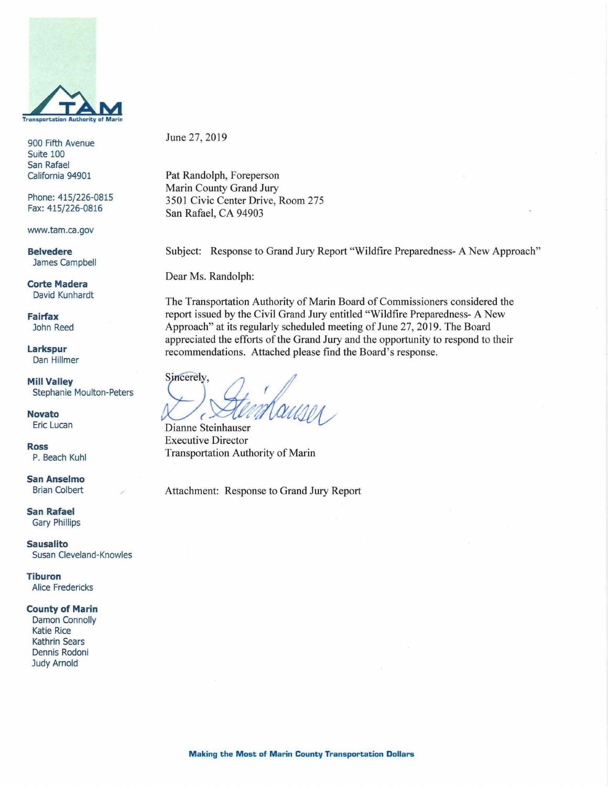

900 Fifth Avenue Suite 100 San Rafael California 94901

Phone: 415/226-0815 Fax: 415/226-0816

www.tam.ca.gov

**Belvedere**  James Campbell

**Corte Madera**  David Kunhardt

**Fairfax**  John Reed

**Larkspur**  Dan Hillmer

**Mill Valley**  Stephanie Moulton-Peters

**Novato**  Eric Lucan

**Ross**  P. Beach Kuhl

**San AnseImo**  Brian Colbert

**San Rafael**  Gary Phillips

**Sausalito**  Susan Cleveland-Knowles

**Tiburon**  Alice Fredericks

#### **County of Marin**

Damon Connolly Katie Rice Kathrin Sears Dennis Rodoni Judy Arnold

June 27, 2019

Pat Randolph, Foreperson Marin County Grand Jury 3501 Civic Center Drive, Room 275 San Rafael, CA 94903

Subject: Response to Grand Jury Report "Wildfire Preparedness- A New Approach"

Dear Ms. Randolph:

The Transportation Authority of Mann Board of Commissioners considered the report issued by the Civil Grand Jury entitled "Wildfire Preparedness- A New Approach" at its regularly scheduled meeting of June 27, 2019. The Board appreciated the efforts of the Grand Jury and the opportunity to respond to their recommendations. Attached please find the Board's response.

Sincerely, Mauson

Dianne Steinhauser Executive Director Transportation Authority of Marin

Attachment: Response to Grand Jury Report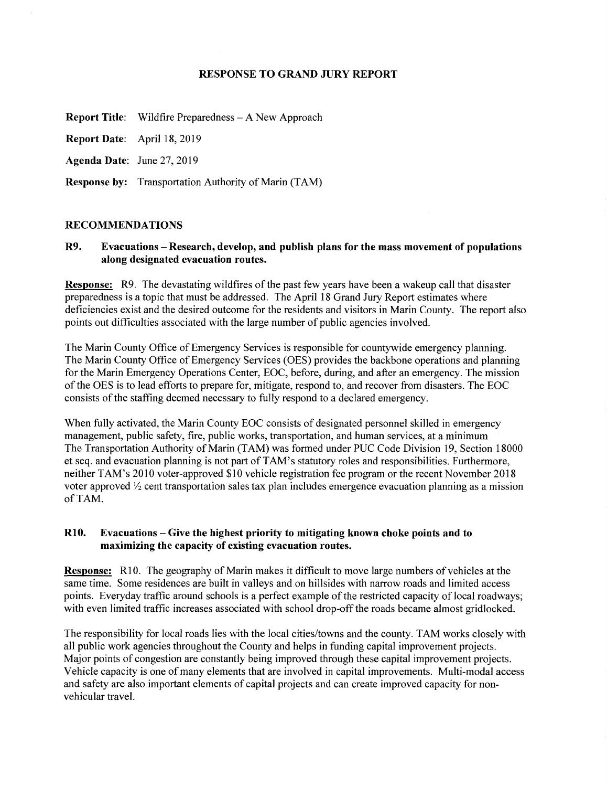### **RESPONSE TO GRAND JURY REPORT**

**Report Title:** Wildfire Preparedness — A New Approach

**Report Date:** April 18, 2019

**Agenda Date:** June 27, 2019

**Response by:** Transportation Authority of Marin (TAM)

### **RECOMMENDATIONS**

**R9. Evacuations — Research, develop, and publish plans for the mass movement of populations along designated evacuation routes.** 

**Response:** R9. The devastating wildfires of the past few years have been a wakeup call that disaster preparedness is a topic that must be addressed. The April 18 Grand Jury Report estimates where deficiencies exist and the desired outcome for the residents and visitors in Marin County. The report also points out difficulties associated with the large number of public agencies involved.

The Marin County Office of Emergency Services is responsible for countywide emergency planning. The Marin County Office of Emergency Services (OES) provides the backbone operations and planning for the Marin Emergency Operations Center, EOC, before, during, and after an emergency. The mission of the OES is to lead efforts to prepare for, mitigate, respond to, and recover from disasters. The EOC consists of the staffing deemed necessary to fully respond to a declared emergency.

When fully activated, the Marin County EOC consists of designated personnel skilled in emergency management, public safety, fire, public works, transportation, and human services, at a minimum The Transportation Authority of Marin (TAM) was formed under PUC Code Division 19, Section 18000 et seq. and evacuation planning is not part of TAM's statutory roles and responsibilities. Furthermore, neither TAM's 2010 voter-approved \$10 vehicle registration fee program or the recent November 2018 voter approved  $\frac{1}{2}$  cent transportation sales tax plan includes emergence evacuation planning as a mission of TAM.

## **R10. Evacuations — Give the highest priority to mitigating known choke points and to maximizing the capacity of existing evacuation routes.**

**Response:** R10. The geography of Marin makes it difficult to move large numbers of vehicles at the same time. Some residences are built in valleys and on hillsides with narrow roads and limited access points. Everyday traffic around schools is a perfect example of the restricted capacity of local roadways; with even limited traffic increases associated with school drop-off the roads became almost gridlocked.

The responsibility for local roads lies with the local cities/towns and the county. TAM works closely with all public work agencies throughout the County and helps in funding capital improvement projects. Major points of congestion are constantly being improved through these capital improvement projects. Vehicle capacity is one of many elements that are involved in capital improvements. Multi-modal access and safety are also important elements of capital projects and can create improved capacity for nonvehicular travel.